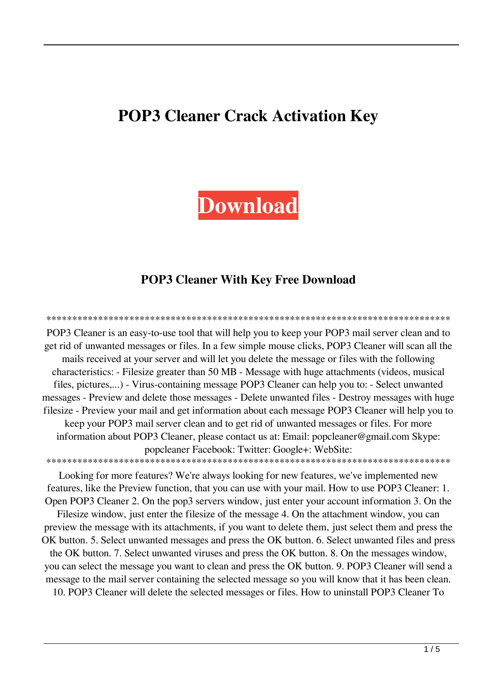# **POP3 Cleaner Crack Activation Key**

# **Download**

### **POP3 Cleaner With Key Free Download**

POP3 Cleaner is an easy-to-use tool that will help you to keep your POP3 mail server clean and to get rid of unwanted messages or files. In a few simple mouse clicks, POP3 Cleaner will scan all the mails received at your server and will let you delete the message or files with the following characteristics: - Filesize greater than 50 MB - Message with huge attachments (videos, musical files, pictures,...) - Virus-containing message POP3 Cleaner can help you to: - Select unwanted messages - Preview and delete those messages - Delete unwanted files - Destroy messages with huge filesize - Preview your mail and get information about each message POP3 Cleaner will help you to keep your POP3 mail server clean and to get rid of unwanted messages or files. For more information about POP3 Cleaner, please contact us at: Email: popcleaner@gmail.com Skype: popcleaner Facebook: Twitter: Google+: WebSite: 

Looking for more features? We're always looking for new features, we've implemented new features, like the Preview function, that you can use with your mail. How to use POP3 Cleaner: 1. Open POP3 Cleaner 2. On the pop3 servers window, just enter your account information 3. On the

Filesize window, just enter the filesize of the message 4. On the attachment window, you can preview the message with its attachments, if you want to delete them, just select them and press the OK button. 5. Select unwanted messages and press the OK button. 6. Select unwanted files and press the OK button. 7. Select unwanted viruses and press the OK button. 8. On the messages window, you can select the message you want to clean and press the OK button. 9. POP3 Cleaner will send a message to the mail server containing the selected message so you will know that it has been clean.

10. POP3 Cleaner will delete the selected messages or files. How to uninstall POP3 Cleaner To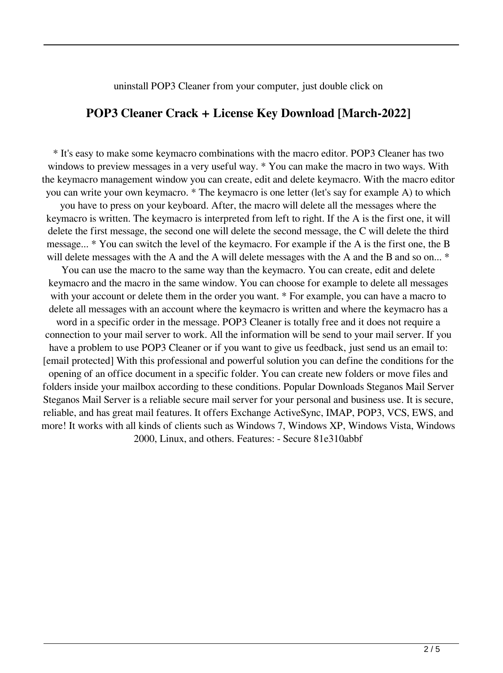#### uninstall POP3 Cleaner from your computer, just double click on

#### **POP3 Cleaner Crack + License Key Download [March-2022]**

\* It's easy to make some keymacro combinations with the macro editor. POP3 Cleaner has two windows to preview messages in a very useful way. \* You can make the macro in two ways. With the keymacro management window you can create, edit and delete keymacro. With the macro editor you can write your own keymacro. \* The keymacro is one letter (let's say for example A) to which

you have to press on your keyboard. After, the macro will delete all the messages where the keymacro is written. The keymacro is interpreted from left to right. If the A is the first one, it will delete the first message, the second one will delete the second message, the C will delete the third message... \* You can switch the level of the keymacro. For example if the A is the first one, the B will delete messages with the A and the A will delete messages with the A and the B and so on... \*

You can use the macro to the same way than the keymacro. You can create, edit and delete keymacro and the macro in the same window. You can choose for example to delete all messages with your account or delete them in the order you want. \* For example, you can have a macro to delete all messages with an account where the keymacro is written and where the keymacro has a word in a specific order in the message. POP3 Cleaner is totally free and it does not require a connection to your mail server to work. All the information will be send to your mail server. If you have a problem to use POP3 Cleaner or if you want to give us feedback, just send us an email to: [email protected] With this professional and powerful solution you can define the conditions for the opening of an office document in a specific folder. You can create new folders or move files and folders inside your mailbox according to these conditions. Popular Downloads Steganos Mail Server Steganos Mail Server is a reliable secure mail server for your personal and business use. It is secure, reliable, and has great mail features. It offers Exchange ActiveSync, IMAP, POP3, VCS, EWS, and more! It works with all kinds of clients such as Windows 7, Windows XP, Windows Vista, Windows 2000, Linux, and others. Features: - Secure 81e310abbf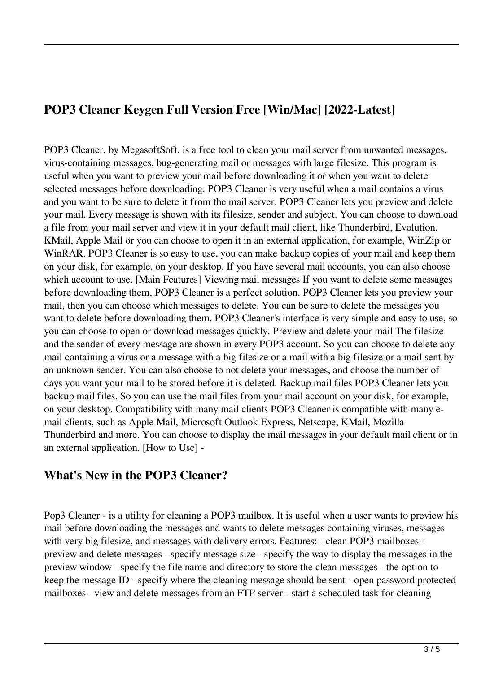# **POP3 Cleaner Keygen Full Version Free [Win/Mac] [2022-Latest]**

POP3 Cleaner, by MegasoftSoft, is a free tool to clean your mail server from unwanted messages, virus-containing messages, bug-generating mail or messages with large filesize. This program is useful when you want to preview your mail before downloading it or when you want to delete selected messages before downloading. POP3 Cleaner is very useful when a mail contains a virus and you want to be sure to delete it from the mail server. POP3 Cleaner lets you preview and delete your mail. Every message is shown with its filesize, sender and subject. You can choose to download a file from your mail server and view it in your default mail client, like Thunderbird, Evolution, KMail, Apple Mail or you can choose to open it in an external application, for example, WinZip or WinRAR. POP3 Cleaner is so easy to use, you can make backup copies of your mail and keep them on your disk, for example, on your desktop. If you have several mail accounts, you can also choose which account to use. [Main Features] Viewing mail messages If you want to delete some messages before downloading them, POP3 Cleaner is a perfect solution. POP3 Cleaner lets you preview your mail, then you can choose which messages to delete. You can be sure to delete the messages you want to delete before downloading them. POP3 Cleaner's interface is very simple and easy to use, so you can choose to open or download messages quickly. Preview and delete your mail The filesize and the sender of every message are shown in every POP3 account. So you can choose to delete any mail containing a virus or a message with a big filesize or a mail with a big filesize or a mail sent by an unknown sender. You can also choose to not delete your messages, and choose the number of days you want your mail to be stored before it is deleted. Backup mail files POP3 Cleaner lets you backup mail files. So you can use the mail files from your mail account on your disk, for example, on your desktop. Compatibility with many mail clients POP3 Cleaner is compatible with many email clients, such as Apple Mail, Microsoft Outlook Express, Netscape, KMail, Mozilla Thunderbird and more. You can choose to display the mail messages in your default mail client or in an external application. [How to Use] -

## **What's New in the POP3 Cleaner?**

Pop3 Cleaner - is a utility for cleaning a POP3 mailbox. It is useful when a user wants to preview his mail before downloading the messages and wants to delete messages containing viruses, messages with very big filesize, and messages with delivery errors. Features: - clean POP3 mailboxes preview and delete messages - specify message size - specify the way to display the messages in the preview window - specify the file name and directory to store the clean messages - the option to keep the message ID - specify where the cleaning message should be sent - open password protected mailboxes - view and delete messages from an FTP server - start a scheduled task for cleaning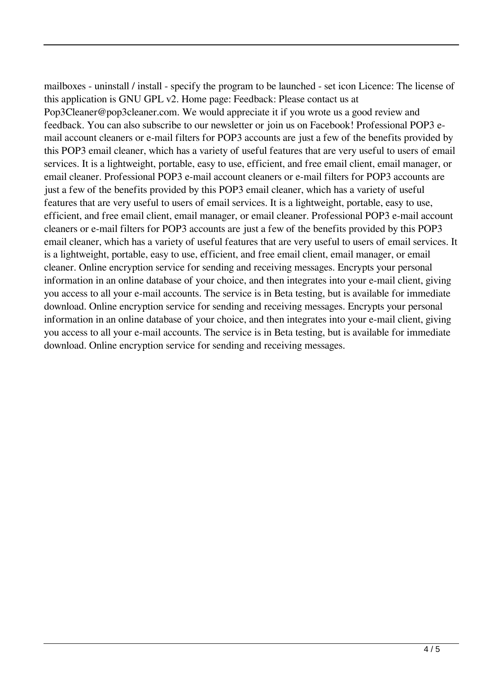mailboxes - uninstall / install - specify the program to be launched - set icon Licence: The license of this application is GNU GPL v2. Home page: Feedback: Please contact us at Pop3Cleaner@pop3cleaner.com. We would appreciate it if you wrote us a good review and feedback. You can also subscribe to our newsletter or join us on Facebook! Professional POP3 email account cleaners or e-mail filters for POP3 accounts are just a few of the benefits provided by this POP3 email cleaner, which has a variety of useful features that are very useful to users of email services. It is a lightweight, portable, easy to use, efficient, and free email client, email manager, or email cleaner. Professional POP3 e-mail account cleaners or e-mail filters for POP3 accounts are just a few of the benefits provided by this POP3 email cleaner, which has a variety of useful features that are very useful to users of email services. It is a lightweight, portable, easy to use, efficient, and free email client, email manager, or email cleaner. Professional POP3 e-mail account cleaners or e-mail filters for POP3 accounts are just a few of the benefits provided by this POP3 email cleaner, which has a variety of useful features that are very useful to users of email services. It is a lightweight, portable, easy to use, efficient, and free email client, email manager, or email cleaner. Online encryption service for sending and receiving messages. Encrypts your personal information in an online database of your choice, and then integrates into your e-mail client, giving you access to all your e-mail accounts. The service is in Beta testing, but is available for immediate download. Online encryption service for sending and receiving messages. Encrypts your personal information in an online database of your choice, and then integrates into your e-mail client, giving you access to all your e-mail accounts. The service is in Beta testing, but is available for immediate download. Online encryption service for sending and receiving messages.